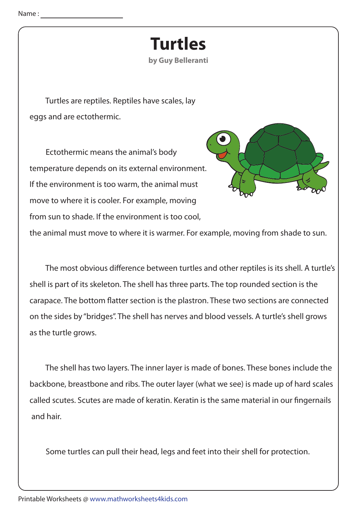## **Turtles**

by Guy Belleranti

Turtles are reptiles. Reptiles have scales, lay eggs and are ectothermic.

Ectothermic means the animal's body temperature depends on its external environment. If the environment is too warm, the animal must move to where it is cooler. For example, moving from sun to shade. If the environment is too cool,



the animal must move to where it is warmer. For example, moving from shade to sun.

The most obvious difference between turtles and other reptiles is its shell. A turtle's shell is part of its skeleton. The shell has three parts. The top rounded section is the carapace. The bottom flatter section is the plastron. These two sections are connected on the sides by "bridges". The shell has nerves and blood vessels. A turtle's shell grows as the turtle grows.

The shell has two layers. The inner layer is made of bones. These bones include the backbone, breastbone and ribs. The outer layer (what we see) is made up of hard scales called scutes. Scutes are made of keratin. Keratin is the same material in our fingernails and hair.

Some turtles can pull their head, legs and feet into their shell for protection.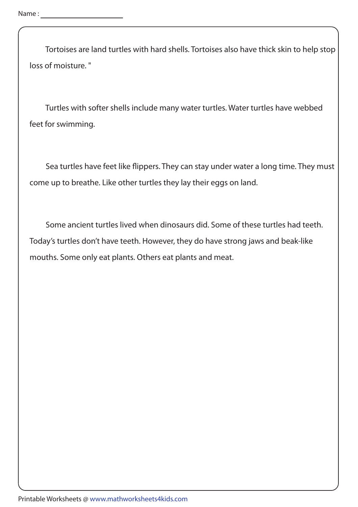Tortoises are land turtles with hard shells. Tortoises also have thick skin to help stop loss of moisture."

Turtles with softer shells include many water turtles. Water turtles have webbed feet for swimming.

Sea turtles have feet like flippers. They can stay under water a long time. They must come up to breathe. Like other turtles they lay their eggs on land.

Some ancient turtles lived when dinosaurs did. Some of these turtles had teeth. Today's turtles don't have teeth. However, they do have strong jaws and beak-like mouths. Some only eat plants. Others eat plants and meat.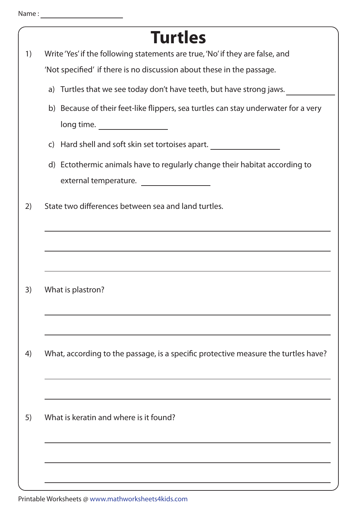|    | <b>Turtles</b>                                                                     |
|----|------------------------------------------------------------------------------------|
| 1) | Write 'Yes' if the following statements are true, 'No' if they are false, and      |
|    | 'Not specified' if there is no discussion about these in the passage.              |
|    | a) Turtles that we see today don't have teeth, but have strong jaws.               |
|    | b) Because of their feet-like flippers, sea turtles can stay underwater for a very |
|    | long time.                                                                         |
|    | c) Hard shell and soft skin set tortoises apart.                                   |
|    | d) Ectothermic animals have to regularly change their habitat according to         |
|    | external temperature.                                                              |
| 2) | State two differences between sea and land turtles.                                |
|    |                                                                                    |
|    |                                                                                    |
| 3) | What is plastron?                                                                  |
|    |                                                                                    |
|    |                                                                                    |
| 4) | What, according to the passage, is a specific protective measure the turtles have? |
|    |                                                                                    |
| 5) | What is keratin and where is it found?                                             |
|    |                                                                                    |
|    |                                                                                    |
|    |                                                                                    |